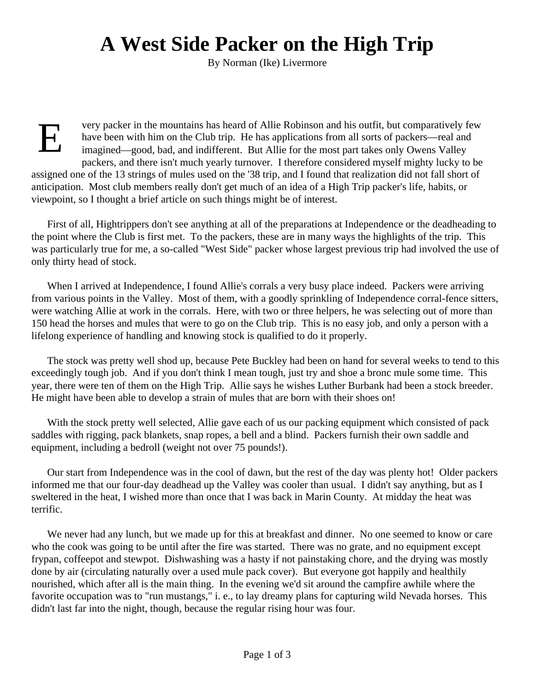## **A West Side Packer on the High Trip**

By Norman (Ike) Livermore

E very packer in the mountains has heard of Allie Robinson and his outfit, but comparatively few have been with him on the Club trip. He has applications from all sorts of packers—real and imagined—good, bad, and indifferent. But Allie for the most part takes only Owens Valley packers, and there isn't much yearly turnover. I therefore considered myself mighty lucky to be assigned one of the 13 strings of mules used on the '38 trip, and I found that realization did not fall short of anticipation. Most club members really don't get much of an idea of a High Trip packer's life, habits, or viewpoint, so I thought a brief article on such things might be of interest.

First of all, Hightrippers don't see anything at all of the preparations at Independence or the deadheading to the point where the Club is first met. To the packers, these are in many ways the highlights of the trip. This was particularly true for me, a so-called "West Side" packer whose largest previous trip had involved the use of only thirty head of stock.

When I arrived at Independence, I found Allie's corrals a very busy place indeed. Packers were arriving from various points in the Valley. Most of them, with a goodly sprinkling of Independence corral-fence sitters, were watching Allie at work in the corrals. Here, with two or three helpers, he was selecting out of more than 150 head the horses and mules that were to go on the Club trip. This is no easy job, and only a person with a lifelong experience of handling and knowing stock is qualified to do it properly.

The stock was pretty well shod up, because Pete Buckley had been on hand for several weeks to tend to this exceedingly tough job. And if you don't think I mean tough, just try and shoe a bronc mule some time. This year, there were ten of them on the High Trip. Allie says he wishes Luther Burbank had been a stock breeder. He might have been able to develop a strain of mules that are born with their shoes on!

With the stock pretty well selected, Allie gave each of us our packing equipment which consisted of pack saddles with rigging, pack blankets, snap ropes, a bell and a blind. Packers furnish their own saddle and equipment, including a bedroll (weight not over 75 pounds!).

Our start from Independence was in the cool of dawn, but the rest of the day was plenty hot! Older packers informed me that our four-day deadhead up the Valley was cooler than usual. I didn't say anything, but as I sweltered in the heat, I wished more than once that I was back in Marin County. At midday the heat was terrific.

We never had any lunch, but we made up for this at breakfast and dinner. No one seemed to know or care who the cook was going to be until after the fire was started. There was no grate, and no equipment except frypan, coffeepot and stewpot. Dishwashing was a hasty if not painstaking chore, and the drying was mostly done by air (circulating naturally over a used mule pack cover). But everyone got happily and healthily nourished, which after all is the main thing. In the evening we'd sit around the campfire awhile where the favorite occupation was to "run mustangs," i. e., to lay dreamy plans for capturing wild Nevada horses. This didn't last far into the night, though, because the regular rising hour was four.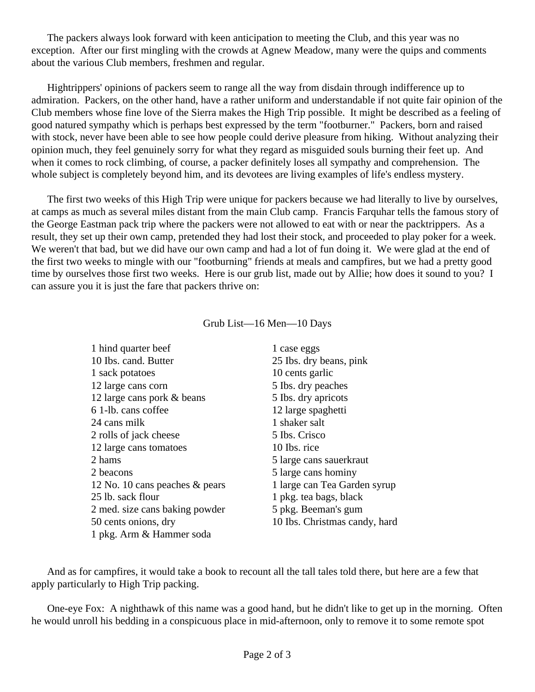The packers always look forward with keen anticipation to meeting the Club, and this year was no exception. After our first mingling with the crowds at Agnew Meadow, many were the quips and comments about the various Club members, freshmen and regular.

Hightrippers' opinions of packers seem to range all the way from disdain through indifference up to admiration. Packers, on the other hand, have a rather uniform and understandable if not quite fair opinion of the Club members whose fine love of the Sierra makes the High Trip possible. It might be described as a feeling of good natured sympathy which is perhaps best expressed by the term "footburner." Packers, born and raised with stock, never have been able to see how people could derive pleasure from hiking. Without analyzing their opinion much, they feel genuinely sorry for what they regard as misguided souls burning their feet up. And when it comes to rock climbing, of course, a packer definitely loses all sympathy and comprehension. The whole subject is completely beyond him, and its devotees are living examples of life's endless mystery.

The first two weeks of this High Trip were unique for packers because we had literally to live by ourselves, at camps as much as several miles distant from the main Club camp. Francis Farquhar tells the famous story of the George Eastman pack trip where the packers were not allowed to eat with or near the packtrippers. As a result, they set up their own camp, pretended they had lost their stock, and proceeded to play poker for a week. We weren't that bad, but we did have our own camp and had a lot of fun doing it. We were glad at the end of the first two weeks to mingle with our "footburning" friends at meals and campfires, but we had a pretty good time by ourselves those first two weeks. Here is our grub list, made out by Allie; how does it sound to you? I can assure you it is just the fare that packers thrive on:

Grub List—16 Men—10 Days

| 1 hind quarter beef               | 1 case eggs                   |
|-----------------------------------|-------------------------------|
| 10 Ibs. cand. Butter              | 25 Ibs. dry beans, pink       |
| 1 sack potatoes                   | 10 cents garlic               |
| 12 large cans corn                | 5 Ibs. dry peaches            |
| 12 large cans pork & beans        | 5 Ibs. dry apricots           |
| 6 1-lb. cans coffee               | 12 large spaghetti            |
| 24 cans milk                      | 1 shaker salt                 |
| 2 rolls of jack cheese            | 5 Ibs. Crisco                 |
| 12 large cans tomatoes            | 10 Ibs. rice                  |
| 2 hams                            | 5 large cans sauerkraut       |
| 2 beacons                         | 5 large cans hominy           |
| 12 No. 10 cans peaches $\&$ pears | 1 large can Tea Garden syrup  |
| 25 lb. sack flour                 | 1 pkg. tea bags, black        |
| 2 med. size cans baking powder    | 5 pkg. Beeman's gum           |
| 50 cents onions, dry              | 10 Ibs. Christmas candy, hard |
| 1 pkg. Arm & Hammer soda          |                               |

And as for campfires, it would take a book to recount all the tall tales told there, but here are a few that apply particularly to High Trip packing.

One-eye Fox: A nighthawk of this name was a good hand, but he didn't like to get up in the morning. Often he would unroll his bedding in a conspicuous place in mid-afternoon, only to remove it to some remote spot